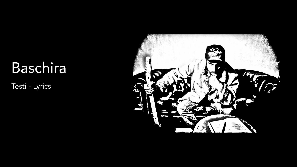# Baschira

Testi - Lyrics

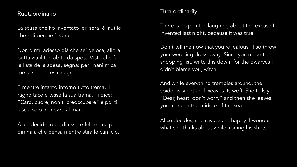## Ruotaordinario

La scusa che ho inventato ieri sera, è inutile che ridi perché è vera.

Non dirmi adesso già che sei gelosa, allora butta via il tuo abito da sposa.Visto che fai la lista della spesa, segna: per i nani mica me la sono presa, cagna.

E mentre intanto intorno tutto trema, il ragno tace e tesse la sua trama. Ti dice: "Caro, cuore, non ti preoccupare" e poi ti lascia solo in mezzo al mare.

Alice decide, dice di essere felice, ma poi dimmi a che pensa mentre stira le camicie.

# Turn ordinarily

There is no point in laughing about the excuse I invented last night, because it was true.

Don't tell me now that you're jealous, if so throw your wedding dress away. Since you make the shopping list, write this down: for the dwarves I didn't blame you, witch.

And while everything trembles around, the spider is silent and weaves its weft. She tells you: "Dear, heart, don't worry" and then she leaves you alone in the middle of the sea.

Alice decides, she says she is happy, I wonder what she thinks about while ironing his shirts.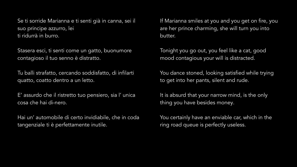Se ti sorride Marianna e ti senti già in canna, sei il suo principe azzurro, lei ti ridurrà in burro.

Stasera esci, ti senti come un gatto, buonumore contagioso il tuo senno è distratto.

Tu balli strafatto, cercando soddisfatto, di infilarti quatto, coatto dentro a un letto.

E' assurdo che il ristretto tuo pensiero, sia l' unica cosa che hai di-nero.

Hai un' automobile di certo invidiabile, che in coda tangenziale ti è perfettamente inutile.

If Marianna smiles at you and you get on fire, you are her prince charming, she will turn you into butter.

Tonight you go out, you feel like a cat, good mood contagious your will is distracted.

You dance stoned, looking satisfied while trying to get into her pants, silent and rude.

It is absurd that your narrow mind, is the only thing you have besides money.

You certainly have an enviable car, which in the ring road queue is perfectly useless.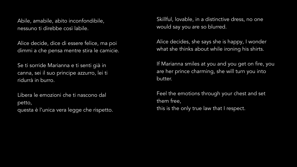Abile, amabile, abito inconfondibile, nessuno ti direbbe così labile.

Alice decide, dice di essere felice, ma poi dimmi a che pensa mentre stira le camicie.

Se ti sorride Marianna e ti senti già in canna, sei il suo principe azzurro, lei ti ridurrà in burro.

Libera le emozioni che ti nascono dal petto, questa è l'unica vera legge che rispetto. Skillful, lovable, in a distinctive dress, no one would say you are so blurred.

Alice decides, she says she is happy, I wonder what she thinks about while ironing his shirts.

If Marianna smiles at you and you get on fire, you are her prince charming, she will turn you into butter.

Feel the emotions through your chest and set them free, this is the only true law that I respect.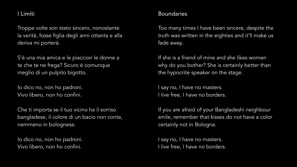# I Limiti

Troppe volte son stato sincero, nonostante la verità, fosse figlia degli anni ottanta e alla deriva mi porterà.

S'è una mia amica e le piaccion le donne a te che te ne frega? Sicuro è comunque meglio di un pulpito bigotto.

Io dico no, non ho padroni. Vivo libero, non ho confini.

Che ti importa se il tuo vicino ha il sorriso bangladese, il colore di un bacio non conta, nemmeno in bolognese.

Io dico no, non ho padroni. Vivo libero, non ho confini.

# **Boundaries**

Too many times I have been sincere, despite the truth was written in the eighties and it'll make us fade away.

If she is a friend of mine and she likes women why do you bother? She is certainly better than the hypocrite speaker on the stage.

I say no, I have no masters. I live free, I have no borders.

If you are afraid of your Bangladeshi neighbour smile, remember that kisses do not have a color certainly not in Bologna.

I say no, I have no masters. I live free, I have no borders.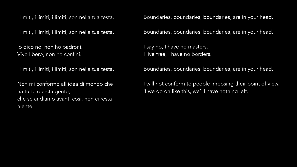I limiti, i limiti, i limiti, son nella tua testa.

I limiti, i limiti, i limiti, son nella tua testa.

Io dico no, non ho padroni. Vivo libero, non ho confini.

I limiti, i limiti, i limiti, son nella tua testa.

Non mi conformo all'idea di mondo che ha tutta questa gente, che se andiamo avanti così, non ci resta niente.

Boundaries, boundaries, boundaries, are in your head.

Boundaries, boundaries, boundaries, are in your head.

I say no, I have no masters. I live free, I have no borders.

Boundaries, boundaries, boundaries, are in your head.

I will not conform to people imposing their point of view, if we go on like this, we' ll have nothing left.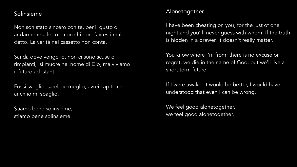#### Solinsieme

Non son stato sincero con te, per il gusto di andarmene a letto e con chi non l'avresti mai detto. La verità nel cassetto non conta.

Sai da dove vengo io, non ci sono scuse o rimpianti, si muore nel nome di Dio, ma viviamo il futuro ad istanti.

Fossi sveglio, sarebbe meglio, avrei capito che anch'io mi sbaglio.

Stiamo bene solinsieme, stiamo bene solinsieme.

## Alonetogether

I have been cheating on you, for the lust of one night and you' ll never guess with whom. If the truth is hidden in a drawer, it doesn't really matter.

You know where I'm from, there is no excuse or regret, we die in the name of God, but we'll live a short term future.

If I were awake, it would be better, I would have understood that even I can be wrong.

We feel good alonetogether, we feel good alonetogether.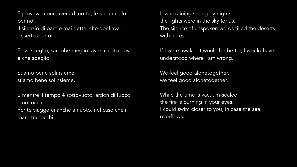E pioveva a primavera di notte, le luci in cielo per noi,

il silenzio di parole mai dette, che gonfiava il deserto di eroi.

Fossi sveglio, sarebbe meglio, avrei capito dov' è che sbaglio.

Stiamo bene solinsieme, stiamo bene solinsieme.

E mentre il tempo è sottovuoto, ardon di fuoco i tuoi occhi. Per te viaggerei anche a nuoto, nel caso che il mare trabocchi.

It was raining spring by nights, the lights were in the sky for us, The silence of unspoken words filled the deserts with heros.

If I were awake, it would be better, I would have understood where I am wrong.

We feel good alonetogether, we feel good alonetogether.

While the time is vacuum-sealed, the fire is burning in your eyes. I could swim closer to you, in case the sea overflows.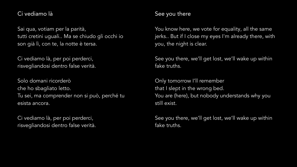# Ci vediamo là

Sai qua, votiam per la parità, tutti cretini uguali.. Ma se chiudo gli occhi io son già lì, con te, la notte è tersa.

Ci vediamo là, per poi perderci, risvegliandosi dentro false verità.

Solo domani ricorderò che ho sbagliato letto. Tu sei, ma comprender non si può, perché tu esista ancora.

Ci vediamo là, per poi perderci, risvegliandosi dentro false verità.

# See you there

You know here, we vote for equality, all the same jerks.. But if I close my eyes I'm already there, with you, the night is clear.

See you there, we'll get lost, we'll wake up within fake truths.

Only tomorrow I'll remember that I slept in the wrong bed. You are (here), but nobody understands why you still exist.

See you there, we'll get lost, we'll wake up within fake truths.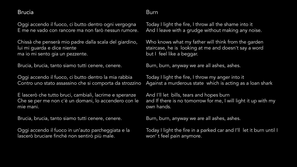#### Brucia

Oggi accendo il fuoco, ci butto dentro ogni vergogna E me ne vado con rancore ma non farò nessun rumore.

Chissà che penserà mio padre dalla scala del giardino, lui mi guarda e dice niente ma io mi sento gia un pezzente.

Brucia, brucia, tanto siamo tutti cenere, cenere.

Oggi accendo il fuoco, ci butto dentro la mia rabbia Contro uno stato assassino che si comporta da strozzino

E lascerò che tutto bruci, cambiali, lacrime e speranze Che se per me non c'è un domani, lo accendero con le mie mani.

Brucia, brucia, tanto siamo tutti cenere, cenere.

Oggi accendo il fuoco in un'auto parcheggiata e la lascerò bruciare finché non sentirò più male.

# Burn

Today I light the fire, I throw all the shame into it And I leave with a grudge without making any noise.

Who knows what my father will think from the garden staircase, he is looking at me and doesn't say a word but I feel like a beggar.

Burn, burn, anyway we are all ashes, ashes.

Today I light the fire, I throw my anger into it Against a murderous state which is acting as a loan shark

And I'll let bills, tears and hopes burn and If there is no tomorrow for me, I will light it up with my own hands.

Burn, burn, anyway we are all ashes, ashes.

Today I light the fire in a parked car and I'll let it burn until I won' t feel pain anymore.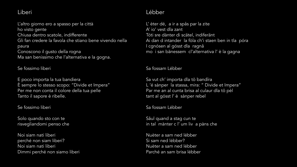## Liberi

L'altro giorno ero a spasso per la città ho visto gente Chiusa dentro scatole, indifferente Gli fan credere la favola che stiano bene vivendo nella paura Conoscono il gusto della rogna Ma san benissimo che l'alternativa e la gogna.

Se fossimo liberi

E poco importa la tua bandiera È sempre lo stesso scopo: "Divide et Impera" Per me non conta il colore della tua pelle Tanto il sapore è ribelle.

Se fossimo liberi

Solo quando sto con te risvegliandomi penso che

Noi siam nati liberi perché non siam liberi? Noi siam nati liberi Dimmi perché non siamo liberi

# Lébber

L' èter dé, a ir a spås par la zite A' io' vest dla zant Tóti sre dànter di scätel, indiferänt Ai dan d intander la fòla ch'i staen ben in tla póra I cgnósen al gósst dla ragnå mo i san bänessem cl'alternativa l' è la gagna

#### Sa fossam Lébber

Sa vut ch' importa dla tö bandïra L 'é sànper la stassa, mira: " Divide et Impera" Par me an al cunta brisa al culaur dla tö pèl tant al gósst l' è sànper rebel

Sa fossam Lébber

Såul quand a stag cun te in tal mànter c l' um liv a pàns che

Nuèter a sam ned lébber Si sam ned lébber? Nuèter a sam ned lébber Parché an sam brisa lébber